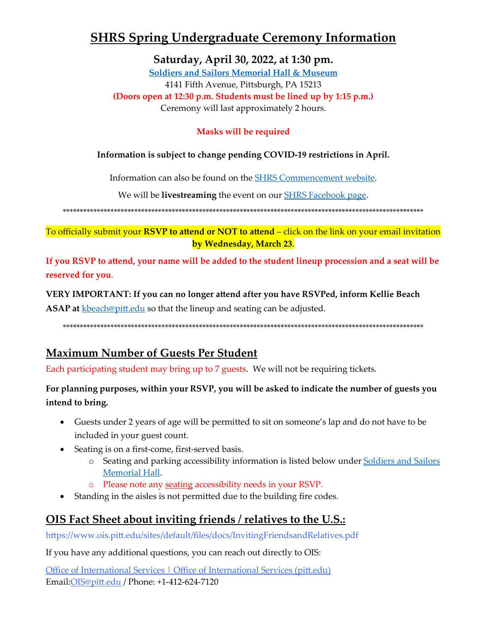# **SHRS Spring Undergraduate Ceremony Information**

Saturday, April 30, 2022, at 1:30 pm.

**Soldiers and Sailors Memorial Hall & Museum** 4141 Fifth Avenue, Pittsburgh, PA 15213 (Doors open at 12:30 p.m. Students must be lined up by 1:15 p.m.) Ceremony will last approximately 2 hours.

### **Masks will be required**

#### Information is subject to change pending COVID-19 restrictions in April.

Information can also be found on the **SHRS** Commencement website.

We will be **livestreaming** the event on our **SHRS** Facebook page.

To officially submit your RSVP to attend or NOT to attend - click on the link on your email invitation by Wednesday, March 23.

If you RSVP to attend, your name will be added to the student lineup procession and a seat will be reserved for you.

#### VERY IMPORTANT: If you can no longer attend after you have RSVPed, inform Kellie Beach

**ASAP at** kbeach@pitt.edu so that the lineup and seating can be adjusted.

## **Maximum Number of Guests Per Student**

Each participating student may bring up to 7 guests. We will not be requiring tickets.

### For planning purposes, within your RSVP, you will be asked to indicate the number of guests you intend to bring.

- Guests under 2 years of age will be permitted to sit on someone's lap and do not have to be included in your guest count.
- Seating is on a first-come, first-served basis.
	- o Seating and parking accessibility information is listed below under Soldiers and Sailors Memorial Hall.
	- o Please note any seating accessibility needs in your RSVP.
- Standing in the aisles is not permitted due to the building fire codes.

## <u>OIS Fact Sheet about inviting friends / relatives to the U.S.:</u>

https://www.ois.pitt.edu/sites/default/files/docs/InvitingFriendsandRelatives.pdf

If you have any additional questions, you can reach out directly to OIS:

Office of International Services | Office of International Services (pitt.edu) Email: OIS@pitt.edu / Phone: +1-412-624-7120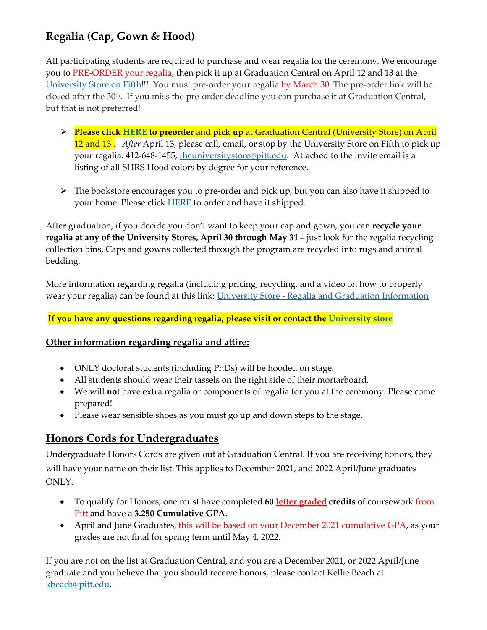## **Regalia (Cap, Gown & Hood)**

All participating students are required to purchase and wear regalia for the ceremony. We encourage you to PRE-ORDER your regalia, then pick it up at Graduation Central on April 12 and 13 at the [University Store on Fifth!](https://www.pittuniversitystore.com/SiteText?id=83063)!! You must pre-order your regalia by March 30. The pre-order link will be closed after the 30<sup>th</sup>. If you miss the pre-order deadline you can purchase it at Graduation Central, but that is not preferred!

- **Please clic[k HERE](https://www.pittuniversitystore.com/MerchList?ID=30445) to preorder** and **pick up** at Graduation Central (University Store) on April 12 and 13 . *After* April 13, please call, email, or stop by the University Store on Fifth to pick up your regalia. 412-648-1455, the university store @pitt.edu. Attached to the invite email is a listing of all SHRS Hood colors by degree for your reference.
- > The bookstore encourages you to pre-order and pick up, but you can also have it shipped to your home. Please click **[HERE](https://pittsburgh.shopoakhalli.com/purchasewizard/Welcome)** to order and have it shipped.

After graduation, if you decide you don't want to keep your cap and gown, you can **recycle your regalia at any of the University Stores, April 30 through May 31** – just look for the regalia recycling collection bins. Caps and gowns collected through the program are recycled into rugs and animal bedding.

More information regarding regalia (including pricing, recycling, and a video on how to properly wear your regalia) can be found at this link: University Store - [Regalia and Graduation Information](https://www.pittuniversitystore.com/SiteText?id=89311) 

#### **If you have any questions regarding regalia, please visit or contact the [University store](https://www.pittuniversitystore.com/SiteText?id=83063)**

#### **Other information regarding regalia and attire:**

- ONLY doctoral students (including PhDs) will be hooded on stage.
- All students should wear their tassels on the right side of their mortarboard.
- We will **not** have extra regalia or components of regalia for you at the ceremony. Please come prepared!
- Please wear sensible shoes as you must go up and down steps to the stage.

### <span id="page-1-0"></span>**Honors Cords for Undergraduates**

Undergraduate Honors Cords are given out at Graduation Central. If you are receiving honors, they will have your name on their list. This applies to December 2021, and 2022 April/June graduates ONLY.

- To qualify for Honors, one must have completed **60 letter graded credits** of coursework from Pitt and have a **3.250 Cumulative GPA**.
- April and June Graduates, this will be based on your December 2021 cumulative GPA, as your grades are not final for spring term until May 4, 2022.

If you are not on the list at Graduation Central, and you are a December 2021, or 2022 April/June graduate and you believe that you should receive honors, please contact Kellie Beach at [kbeach@pitt.edu.](mailto:kbeach@pitt.edu)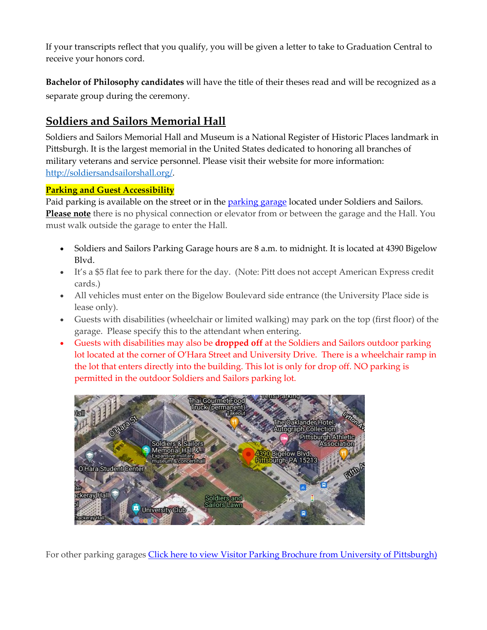If your transcripts reflect that you qualify, you will be given a letter to take to Graduation Central to receive your honors cord.

**Bachelor of Philosophy candidates** will have the title of their theses read and will be recognized as a separate group during the ceremony.

### **Soldiers and Sailors Memorial Hall**

Soldiers and Sailors Memorial Hall and Museum is a National Register of Historic Places landmark in Pittsburgh. It is the largest memorial in the United States dedicated to honoring all branches of military veterans and service personnel. Please visit their website for more information: <http://soldiersandsailorshall.org/>.

#### **Parking and Guest Accessibility**

Paid parking is available on the street or in the [parking garage](http://www.alcoparking.com/university-of-pittsburgh/soldiers-and-sailors-parking-garage) located under Soldiers and Sailors. **Please note** there is no physical connection or elevator from or between the garage and the Hall. You must walk outside the garage to enter the Hall.

- Soldiers and Sailors Parking Garage hours are 8 a.m. to midnight. It is located at 4390 Bigelow Blvd.
- It's a \$5 flat fee to park there for the day. (Note: Pitt does not accept American Express credit cards.)
- All vehicles must enter on the Bigelow Boulevard side entrance (the University Place side is lease only).
- Guests with disabilities (wheelchair or limited walking) may park on the top (first floor) of the garage. Please specify this to the attendant when entering.
- Guests with disabilities may also be **dropped off** at the Soldiers and Sailors outdoor parking lot located at the corner of O'Hara Street and University Drive. There is a wheelchair ramp in the lot that enters directly into the building. This lot is only for drop off. NO parking is permitted in the outdoor Soldiers and Sailors parking lot.



For other parking garages [Click here to view Visitor Parking Brochure from University of Pittsburgh\)](http://r20.rs6.net/tn.jsp?f=00106uEphaoZ4VOkMNzlgS4enjSyH-NFvV3jxIAfP8OBFcVBSkdGaWeQ-SDv0Krx4E2rR10g2ZlQxE266ai8rdKD1RfcrY81vBhC0YQWnut1CzKo7ucbrAgXYXTKU1xqzxdIP0Vo22tiND0OPnZZrSezMvl91I30gtnf1fMkj7XE29v6yehFQxQAd7MFU3DDeZEALaQVnAvgUv24J5iyRhJmdbzEiqr1242_e-WZvuPZeY0-jY8RqsH0l9x1uIhEv3hwUFypY4LAXw=&c=&ch=)